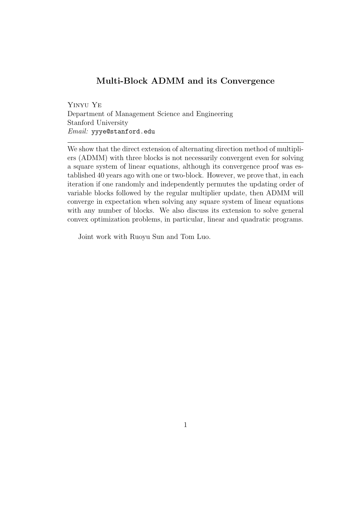#### Multi-Block ADMM and its Convergence

Yinyu Ye Department of Management Science and Engineering Stanford University Email: yyye@stanford.edu

We show that the direct extension of alternating direction method of multipliers (ADMM) with three blocks is not necessarily convergent even for solving a square system of linear equations, although its convergence proof was established 40 years ago with one or two-block. However, we prove that, in each iteration if one randomly and independently permutes the updating order of variable blocks followed by the regular multiplier update, then ADMM will converge in expectation when solving any square system of linear equations with any number of blocks. We also discuss its extension to solve general convex optimization problems, in particular, linear and quadratic programs.

Joint work with Ruoyu Sun and Tom Luo.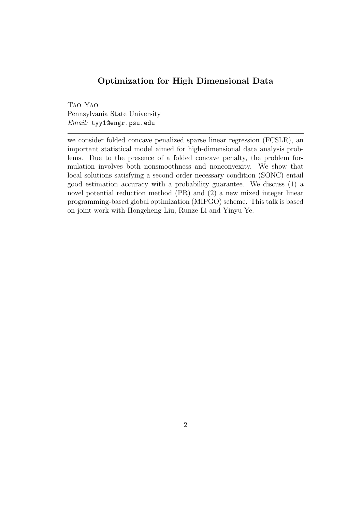#### Optimization for High Dimensional Data

Tao Yao Pennsylvania State University Email: tyy1@engr.psu.edu

we consider folded concave penalized sparse linear regression (FCSLR), an important statistical model aimed for high-dimensional data analysis problems. Due to the presence of a folded concave penalty, the problem formulation involves both nonsmoothness and nonconvexity. We show that local solutions satisfying a second order necessary condition (SONC) entail good estimation accuracy with a probability guarantee. We discuss (1) a novel potential reduction method (PR) and (2) a new mixed integer linear programming-based global optimization (MIPGO) scheme. This talk is based on joint work with Hongcheng Liu, Runze Li and Yinyu Ye.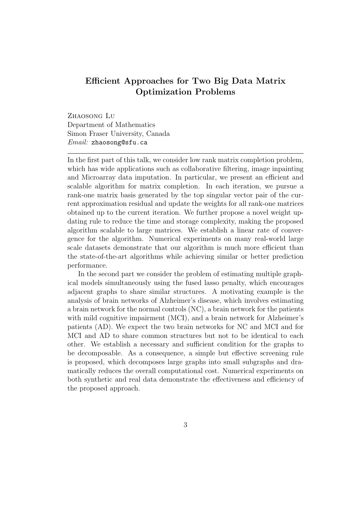### Efficient Approaches for Two Big Data Matrix Optimization Problems

ZHAOSONG LU Department of Mathematics Simon Fraser University, Canada Email: zhaosong@sfu.ca

In the first part of this talk, we consider low rank matrix completion problem, which has wide applications such as collaborative filtering, image inpainting and Microarray data imputation. In particular, we present an efficient and scalable algorithm for matrix completion. In each iteration, we pursue a rank-one matrix basis generated by the top singular vector pair of the current approximation residual and update the weights for all rank-one matrices obtained up to the current iteration. We further propose a novel weight updating rule to reduce the time and storage complexity, making the proposed algorithm scalable to large matrices. We establish a linear rate of convergence for the algorithm. Numerical experiments on many real-world large scale datasets demonstrate that our algorithm is much more efficient than the state-of-the-art algorithms while achieving similar or better prediction performance.

In the second part we consider the problem of estimating multiple graphical models simultaneously using the fused lasso penalty, which encourages adjacent graphs to share similar structures. A motivating example is the analysis of brain networks of Alzheimer's disease, which involves estimating a brain network for the normal controls (NC), a brain network for the patients with mild cognitive impairment (MCI), and a brain network for Alzheimer's patients (AD). We expect the two brain networks for NC and MCI and for MCI and AD to share common structures but not to be identical to each other. We establish a necessary and sufficient condition for the graphs to be decomposable. As a consequence, a simple but effective screening rule is proposed, which decomposes large graphs into small subgraphs and dramatically reduces the overall computational cost. Numerical experiments on both synthetic and real data demonstrate the effectiveness and efficiency of the proposed approach.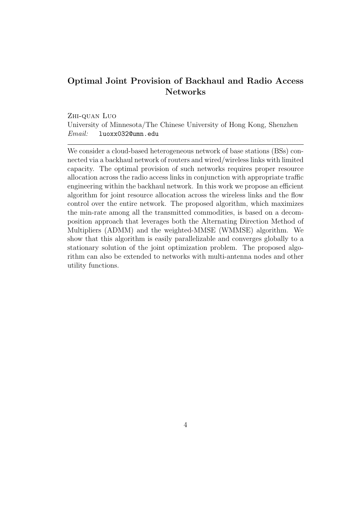### Optimal Joint Provision of Backhaul and Radio Access Networks

Zhi-quan Luo

University of Minnesota/The Chinese University of Hong Kong, Shenzhen Email: luoxx032@umn.edu

We consider a cloud-based heterogeneous network of base stations (BSs) connected via a backhaul network of routers and wired/wireless links with limited capacity. The optimal provision of such networks requires proper resource allocation across the radio access links in conjunction with appropriate traffic engineering within the backhaul network. In this work we propose an efficient algorithm for joint resource allocation across the wireless links and the flow control over the entire network. The proposed algorithm, which maximizes the min-rate among all the transmitted commodities, is based on a decomposition approach that leverages both the Alternating Direction Method of Multipliers (ADMM) and the weighted-MMSE (WMMSE) algorithm. We show that this algorithm is easily parallelizable and converges globally to a stationary solution of the joint optimization problem. The proposed algorithm can also be extended to networks with multi-antenna nodes and other utility functions.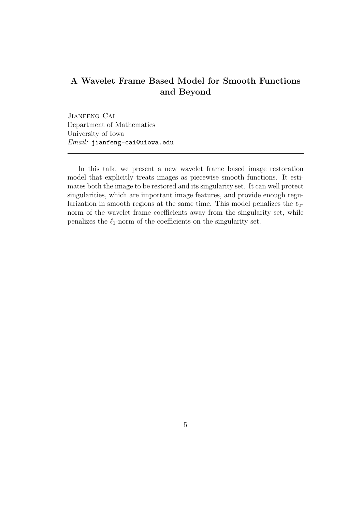# A Wavelet Frame Based Model for Smooth Functions and Beyond

Jianfeng Cai Department of Mathematics University of Iowa Email: jianfeng-cai@uiowa.edu

In this talk, we present a new wavelet frame based image restoration model that explicitly treats images as piecewise smooth functions. It estimates both the image to be restored and its singularity set. It can well protect singularities, which are important image features, and provide enough regularization in smooth regions at the same time. This model penalizes the  $\ell_2$ norm of the wavelet frame coefficients away from the singularity set, while penalizes the  $\ell_1$ -norm of the coefficients on the singularity set.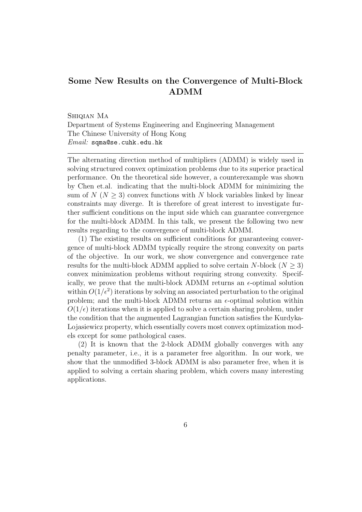### Some New Results on the Convergence of Multi-Block ADMM

Shiqian Ma

Department of Systems Engineering and Engineering Management The Chinese University of Hong Kong Email: sqma@se.cuhk.edu.hk

The alternating direction method of multipliers (ADMM) is widely used in solving structured convex optimization problems due to its superior practical performance. On the theoretical side however, a counterexample was shown by Chen et.al. indicating that the multi-block ADMM for minimizing the sum of  $N(N \geq 3)$  convex functions with N block variables linked by linear constraints may diverge. It is therefore of great interest to investigate further sufficient conditions on the input side which can guarantee convergence for the multi-block ADMM. In this talk, we present the following two new results regarding to the convergence of multi-block ADMM.

(1) The existing results on sufficient conditions for guaranteeing convergence of multi-block ADMM typically require the strong convexity on parts of the objective. In our work, we show convergence and convergence rate results for the multi-block ADMM applied to solve certain N-block  $(N > 3)$ convex minimization problems without requiring strong convexity. Specifically, we prove that the multi-block ADMM returns an  $\epsilon$ -optimal solution within  $O(1/\epsilon^2)$  iterations by solving an associated perturbation to the original problem; and the multi-block ADMM returns an  $\epsilon$ -optimal solution within  $O(1/\epsilon)$  iterations when it is applied to solve a certain sharing problem, under the condition that the augmented Lagrangian function satisfies the Kurdyka-Lojasiewicz property, which essentially covers most convex optimization models except for some pathological cases.

(2) It is known that the 2-block ADMM globally converges with any penalty parameter, i.e., it is a parameter free algorithm. In our work, we show that the unmodified 3-block ADMM is also parameter free, when it is applied to solving a certain sharing problem, which covers many interesting applications.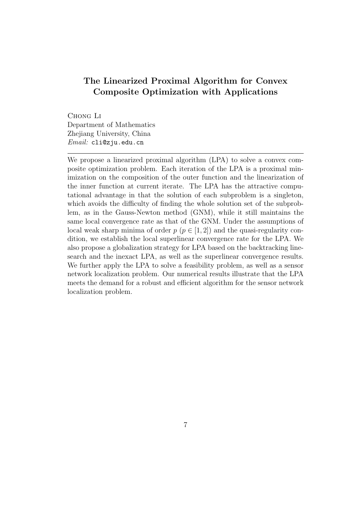### The Linearized Proximal Algorithm for Convex Composite Optimization with Applications

Chong Li Department of Mathematics Zhejiang University, China Email: cli@zju.edu.cn

We propose a linearized proximal algorithm (LPA) to solve a convex composite optimization problem. Each iteration of the LPA is a proximal minimization on the composition of the outer function and the linearization of the inner function at current iterate. The LPA has the attractive computational advantage in that the solution of each subproblem is a singleton, which avoids the difficulty of finding the whole solution set of the subproblem, as in the Gauss-Newton method (GNM), while it still maintains the same local convergence rate as that of the GNM. Under the assumptions of local weak sharp minima of order  $p$  ( $p \in [1, 2]$ ) and the quasi-regularity condition, we establish the local superlinear convergence rate for the LPA. We also propose a globalization strategy for LPA based on the backtracking linesearch and the inexact LPA, as well as the superlinear convergence results. We further apply the LPA to solve a feasibility problem, as well as a sensor network localization problem. Our numerical results illustrate that the LPA meets the demand for a robust and efficient algorithm for the sensor network localization problem.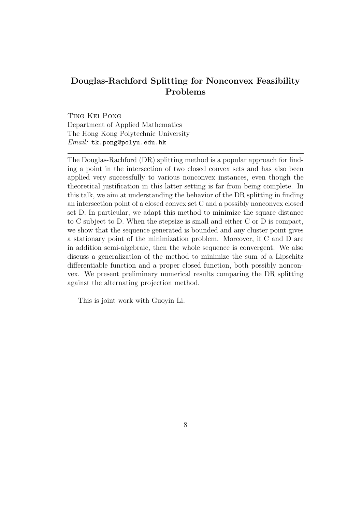# Douglas-Rachford Splitting for Nonconvex Feasibility Problems

Ting Kei Pong Department of Applied Mathematics The Hong Kong Polytechnic University Email: tk.pong@polyu.edu.hk

The Douglas-Rachford (DR) splitting method is a popular approach for finding a point in the intersection of two closed convex sets and has also been applied very successfully to various nonconvex instances, even though the theoretical justification in this latter setting is far from being complete. In this talk, we aim at understanding the behavior of the DR splitting in finding an intersection point of a closed convex set C and a possibly nonconvex closed set D. In particular, we adapt this method to minimize the square distance to C subject to D. When the stepsize is small and either C or D is compact, we show that the sequence generated is bounded and any cluster point gives a stationary point of the minimization problem. Moreover, if C and D are in addition semi-algebraic, then the whole sequence is convergent. We also discuss a generalization of the method to minimize the sum of a Lipschitz differentiable function and a proper closed function, both possibly nonconvex. We present preliminary numerical results comparing the DR splitting against the alternating projection method.

This is joint work with Guoyin Li.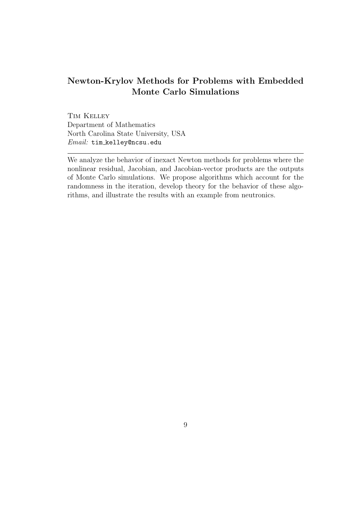# Newton-Krylov Methods for Problems with Embedded Monte Carlo Simulations

Tim Kelley Department of Mathematics North Carolina State University, USA Email: tim kelley@ncsu.edu

We analyze the behavior of inexact Newton methods for problems where the nonlinear residual, Jacobian, and Jacobian-vector products are the outputs of Monte Carlo simulations. We propose algorithms which account for the randomness in the iteration, develop theory for the behavior of these algorithms, and illustrate the results with an example from neutronics.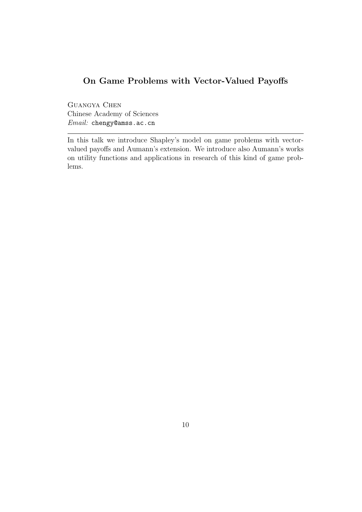# On Game Problems with Vector-Valued Payoffs

Guangya Chen Chinese Academy of Sciences Email: chengy@amss.ac.cn

In this talk we introduce Shapley's model on game problems with vectorvalued payoffs and Aumann's extension. We introduce also Aumann's works on utility functions and applications in research of this kind of game problems.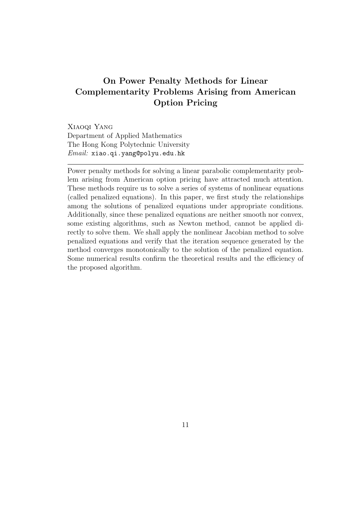# On Power Penalty Methods for Linear Complementarity Problems Arising from American Option Pricing

Xiaoqi Yang Department of Applied Mathematics The Hong Kong Polytechnic University Email: xiao.qi.yang@polyu.edu.hk

Power penalty methods for solving a linear parabolic complementarity problem arising from American option pricing have attracted much attention. These methods require us to solve a series of systems of nonlinear equations (called penalized equations). In this paper, we first study the relationships among the solutions of penalized equations under appropriate conditions. Additionally, since these penalized equations are neither smooth nor convex, some existing algorithms, such as Newton method, cannot be applied directly to solve them. We shall apply the nonlinear Jacobian method to solve penalized equations and verify that the iteration sequence generated by the method converges monotonically to the solution of the penalized equation. Some numerical results confirm the theoretical results and the efficiency of the proposed algorithm.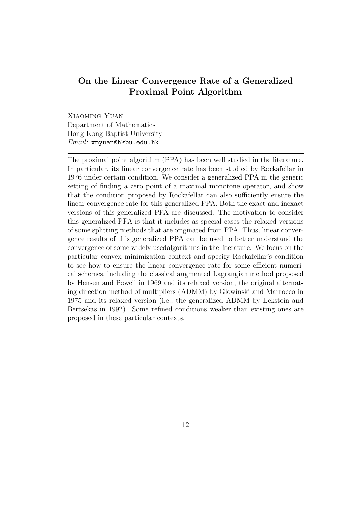### On the Linear Convergence Rate of a Generalized Proximal Point Algorithm

Xiaoming Yuan Department of Mathematics Hong Kong Baptist University Email: xmyuan@hkbu.edu.hk

The proximal point algorithm (PPA) has been well studied in the literature. In particular, its linear convergence rate has been studied by Rockafellar in 1976 under certain condition. We consider a generalized PPA in the generic setting of finding a zero point of a maximal monotone operator, and show that the condition proposed by Rockafellar can also sufficiently ensure the linear convergence rate for this generalized PPA. Both the exact and inexact versions of this generalized PPA are discussed. The motivation to consider this generalized PPA is that it includes as special cases the relaxed versions of some splitting methods that are originated from PPA. Thus, linear convergence results of this generalized PPA can be used to better understand the convergence of some widely usedalgorithms in the literature. We focus on the particular convex minimization context and specify Rockafellar's condition to see how to ensure the linear convergence rate for some efficient numerical schemes, including the classical augmented Lagrangian method proposed by Hensen and Powell in 1969 and its relaxed version, the original alternating direction method of multipliers (ADMM) by Glowinski and Marrocco in 1975 and its relaxed version (i.e., the generalized ADMM by Eckstein and Bertsekas in 1992). Some refined conditions weaker than existing ones are proposed in these particular contexts.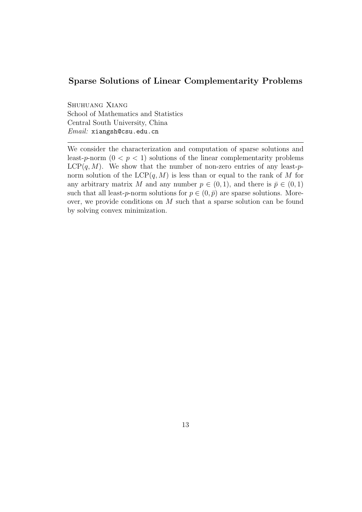#### Sparse Solutions of Linear Complementarity Problems

Shuhuang Xiang School of Mathematics and Statistics Central South University, China Email: xiangsh@csu.edu.cn

We consider the characterization and computation of sparse solutions and least-p-norm  $(0 < p < 1)$  solutions of the linear complementarity problems  $LCP(q, M)$ . We show that the number of non-zero entries of any least-pnorm solution of the  $LCP(q, M)$  is less than or equal to the rank of M for any arbitrary matrix M and any number  $p \in (0,1)$ , and there is  $\bar{p} \in (0,1)$ such that all least-p-norm solutions for  $p \in (0, \bar{p})$  are sparse solutions. Moreover, we provide conditions on M such that a sparse solution can be found by solving convex minimization.